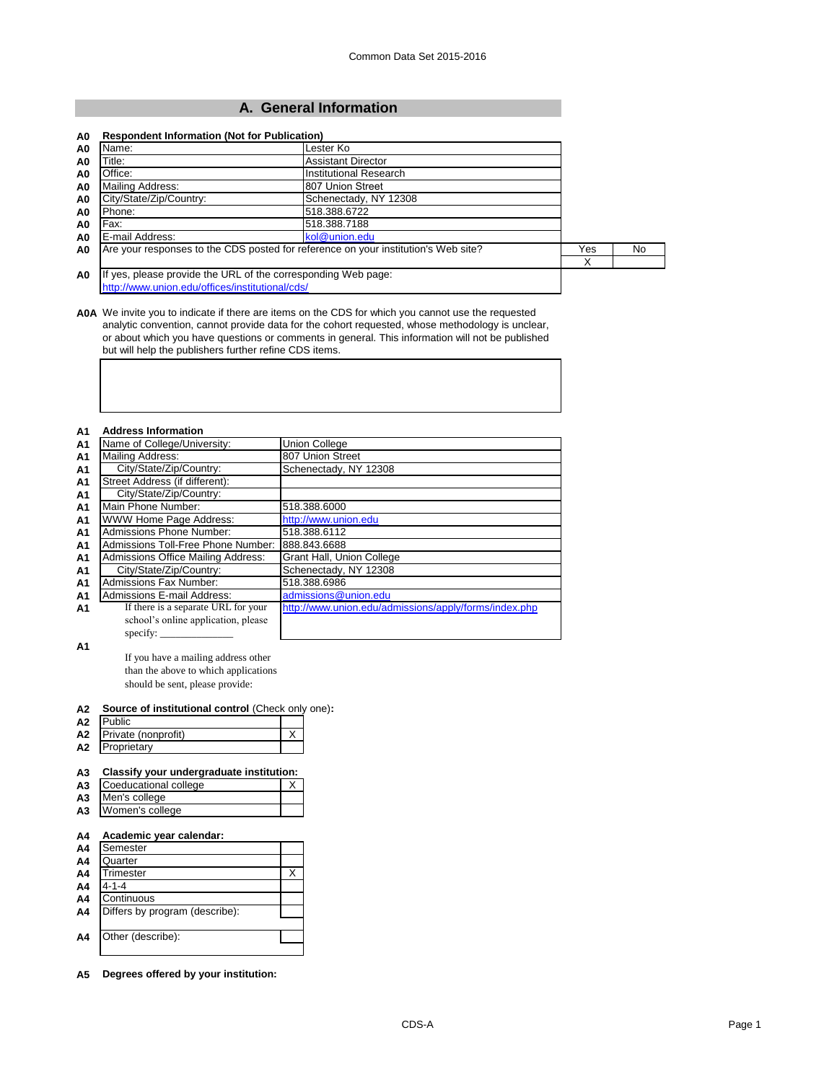# **A. General Information**

| A0                                                                  | Name:                                                                              | Lester Ko                 |     |     |
|---------------------------------------------------------------------|------------------------------------------------------------------------------------|---------------------------|-----|-----|
| A0                                                                  | Title:                                                                             | <b>Assistant Director</b> |     |     |
| A <sub>0</sub>                                                      | Office:                                                                            | Institutional Research    |     |     |
| A <sub>0</sub>                                                      | Mailing Address:                                                                   | 807 Union Street          |     |     |
| A0                                                                  | City/State/Zip/Country:                                                            | Schenectady, NY 12308     |     |     |
| A0                                                                  | Phone:                                                                             | 518.388.6722              |     |     |
| A0                                                                  | Fax:                                                                               | 518.388.7188              |     |     |
| A <sub>0</sub>                                                      | E-mail Address:                                                                    | kol@union.edu             |     |     |
| A <sub>0</sub>                                                      | Are your responses to the CDS posted for reference on your institution's Web site? |                           | Yes | No. |
|                                                                     |                                                                                    |                           | х   |     |
| If yes, please provide the URL of the corresponding Web page:<br>A0 |                                                                                    |                           |     |     |
|                                                                     | http://www.union.edu/offices/institutional/cds/                                    |                           |     |     |

**A0A** We invite you to indicate if there are items on the CDS for which you cannot use the requested analytic convention, cannot provide data for the cohort requested, whose methodology is unclear, or about which you have questions or comments in general. This information will not be published but will help the publishers further refine CDS items.

## **A1 Address Information**

| <b>A1</b>      | Name of College/University:         | Union College                                         |
|----------------|-------------------------------------|-------------------------------------------------------|
| <b>A1</b>      | <b>Mailing Address:</b>             | 807 Union Street                                      |
| <b>A1</b>      | City/State/Zip/Country:             | Schenectady, NY 12308                                 |
| <b>A1</b>      | Street Address (if different):      |                                                       |
| <b>A1</b>      | City/State/Zip/Country:             |                                                       |
| A <sub>1</sub> | Main Phone Number:                  | 518.388.6000                                          |
| A <sub>1</sub> | WWW Home Page Address:              | http://www.union.edu                                  |
| A <sub>1</sub> | Admissions Phone Number:            | 518.388.6112                                          |
| <b>A1</b>      | Admissions Toll-Free Phone Number:  | 888.843.6688                                          |
| A <sub>1</sub> | Admissions Office Mailing Address:  | Grant Hall, Union College                             |
| <b>A1</b>      | City/State/Zip/Country:             | Schenectady, NY 12308                                 |
| A <sub>1</sub> | <b>Admissions Fax Number:</b>       | 518.388.6986                                          |
| A <sub>1</sub> | <b>Admissions E-mail Address:</b>   | admissions@union.edu                                  |
| A1             | If there is a separate URL for your | http://www.union.edu/admissions/apply/forms/index.php |
|                | school's online application, please |                                                       |
|                |                                     |                                                       |

**A1**

If you have a mailing address other than the above to which applications should be sent, please provide:

#### **A2 Source of institutional control** (Check only one)**:**

| A2 | Public              |  |
|----|---------------------|--|
| А2 | Private (nonprofit) |  |
| А2 | Proprietary         |  |

# **A3 Classify your undergraduate institution:**

| A3 Coeducational college |  |
|--------------------------|--|
| A3 Men's college         |  |
| A3 Women's college       |  |

### **A4 Academic year calendar:**

| A4 | Semester                       |  |
|----|--------------------------------|--|
| A4 | Quarter                        |  |
| A4 | Trimester                      |  |
| A4 | $4 - 1 - 4$                    |  |
| A4 | Continuous                     |  |
| A4 | Differs by program (describe): |  |
|    |                                |  |
| A4 | Other (describe):              |  |
|    |                                |  |

**A5 Degrees offered by your institution:**